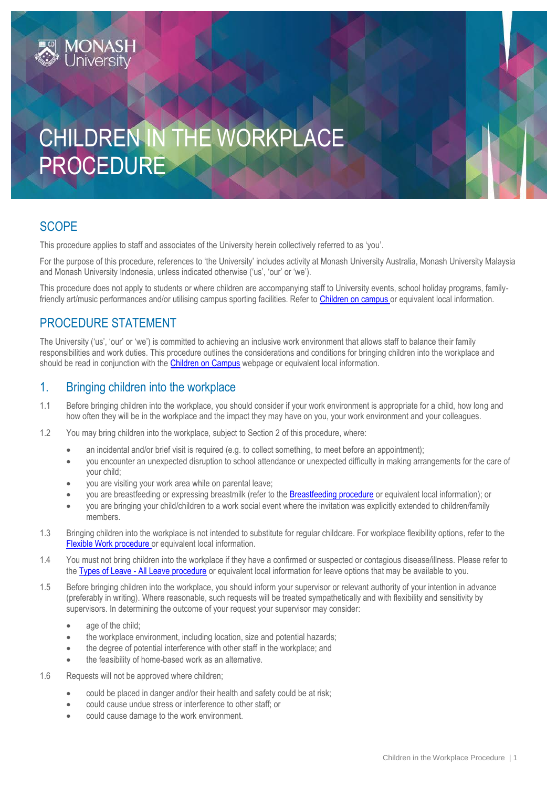# CHILDREN IN THE WORKPLACE PROCEDURE

## **SCOPE**

This procedure applies to staff and associates of the University herein collectively referred to as 'you'.

For the purpose of this procedure, references to 'the University' includes activity at Monash University Australia, Monash University Malaysia and Monash University Indonesia, unless indicated otherwise ('us', 'our' or 'we').

This procedure does not apply to students or where children are accompanying staff to University events, school holiday programs, family-friendly art/music performances and/or utilising campus sporting facilities. Refer to [Children on campus](https://www.monash.edu/ohs/info-docs/safety-topics/events-and-people/children-on-campus) or equivalent local information.

## PROCEDURE STATEMENT

The University ('us', 'our' or 'we') is committed to achieving an inclusive work environment that allows staff to balance their family responsibilities and work duties. This procedure outlines the considerations and conditions for bringing children into the workplace and should be read in conjunction with the [Children on Campus](https://www.monash.edu/ohs/info-docs/safety-topics/events-and-people/children-on-campus) webpage or equivalent local information.

### 1. Bringing children into the workplace

- 1.1 Before bringing children into the workplace, you should consider if your work environment is appropriate for a child, how long and how often they will be in the workplace and the impact they may have on you, your work environment and your colleagues.
- 1.2 You may bring children into the workplace, subject to Section 2 of this procedure, where:
	- an incidental and/or brief visit is required (e.g. to collect something, to meet before an appointment);
	- you encounter an unexpected disruption to school attendance or unexpected difficulty in making arrangements for the care of your child;
	- you are visiting your work area while on parental leave;
	- you are breastfeeding or expressing breastmilk (refer to th[e Breastfeeding procedure](https://publicpolicydms.monash.edu/Monash/documents/1935661) or equivalent local information); or
	- you are bringing your child/children to a work social event where the invitation was explicitly extended to children/family members.
- 1.3 Bringing children into the workplace is not intended to substitute for regular childcare. For workplace flexibility options, refer to the Flexible Work procedure [or equivalent local information.](https://publicpolicydms.monash.edu/Monash/documents/1935686)
- 1.4 You must not bring children into the workplace if they have a confirmed or suspected or contagious disease/illness. Please refer to the Types of Leave - [All Leave procedure](https://publicpolicydms.monash.edu/Monash/documents/1935723) or equivalent local information for leave options that may be available to you.
- 1.5 Before bringing children into the workplace, you should inform your supervisor or relevant authority of your intention in advance (preferably in writing). Where reasonable, such requests will be treated sympathetically and with flexibility and sensitivity by supervisors. In determining the outcome of your request your supervisor may consider:
	- age of the child;
	- the workplace environment, including location, size and potential hazards;
	- the degree of potential interference with other staff in the workplace; and
	- the feasibility of home-based work as an alternative.
- 1.6 Requests will not be approved where children;
	- could be placed in danger and/or their health and safety could be at risk;
	- could cause undue stress or interference to other staff; or
	- could cause damage to the work environment.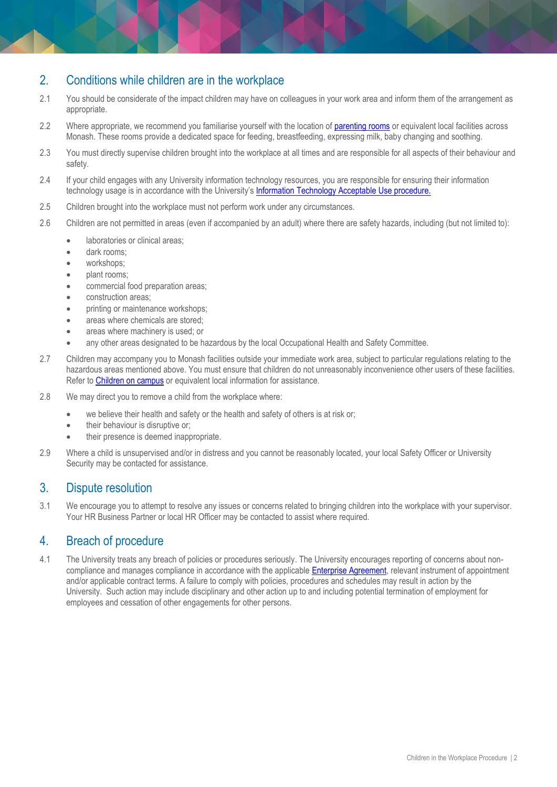#### 2. Conditions while children are in the workplace

- 2.1 You should be considerate of the impact children may have on colleagues in your work area and inform them of the arrangement as appropriate.
- 2.2 Where appropriate, we recommend you familiarise yourself with the location o[f parenting rooms](https://www.monash.edu/childcare/parenting-rooms) or equivalent local facilities across Monash. These rooms provide a dedicated space for feeding, breastfeeding, expressing milk, baby changing and soothing.
- 2.3 You must directly supervise children brought into the workplace at all times and are responsible for all aspects of their behaviour and safety.
- 2.4 If your child engages with any University information technology resources, you are responsible for ensuring their information technology usage is in accordance with the University's [Information Technology Acceptable Use procedure.](https://publicpolicydms.monash.edu/Monash/documents/1909268)
- 2.5 Children brought into the workplace must not perform work under any circumstances.
- 2.6 Children are not permitted in areas (even if accompanied by an adult) where there are safety hazards, including (but not limited to):
	- laboratories or clinical areas;
	- dark rooms:
	- workshops:
	- plant rooms:
	- commercial food preparation areas;
	- construction areas;
	- printing or maintenance workshops;
	- areas where chemicals are stored;
	- areas where machinery is used; or
	- any other areas designated to be hazardous by the local Occupational [Health and Safety Committee.](https://www.monash.edu/ohs/OHS-structure-responsibilities/local-ohs-committee-chairpersons)
- 2.7 Children may accompany you to Monash facilities outside your immediate work area, subject to particular regulations relating to the hazardous areas mentioned above. You must ensure that children do not unreasonably inconvenience other users of these facilities. Refer t[o Children on campus](https://www.monash.edu/ohs/info-docs/safety-topics/events-and-people/children-on-campus) or equivalent local information for assistance.
- 2.8 We may direct you to remove a child from the workplace where:
	- we believe their health and safety or the health and safety of others is at risk or;
	- their behaviour is disruptive or:
	- their presence is deemed inappropriate.
- 2.9 Where a child is unsupervised and/or in distress and you cannot be reasonably located, your local Safety Officer or [University](https://www.monash.edu/students/safety-security/security/contacts)  [Security](https://www.monash.edu/students/safety-security/security/contacts) may be contacted for assistance.

#### 3. Dispute resolution

3.1 We encourage you to attempt to resolve any issues or concerns related to bringing children into the workplace with your supervisor. Your HR Business Partner or local HR Officer may be contacted to assist where required.

#### 4. Breach of procedure

4.1 The University treats any breach of policies or procedures seriously. The University encourages reporting of concerns about noncompliance and manages compliance in accordance with the applicabl[e Enterprise Agreement,](https://www.monash.edu/current-enterprise-agreements/home) relevant instrument of appointment and/or applicable contract terms. A failure to comply with policies, procedures and schedules may result in action by the University. Such action may include disciplinary and other action up to and including potential termination of employment for employees and cessation of other engagements for other persons.